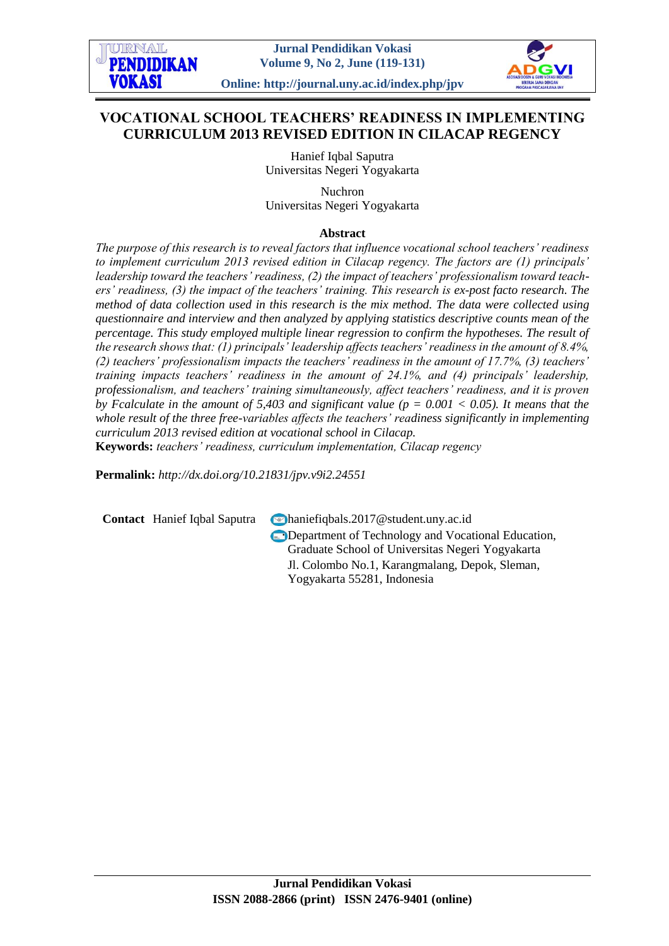

# **VOCATIONAL SCHOOL TEACHERS' READINESS IN IMPLEMENTING CURRICULUM 2013 REVISED EDITION IN CILACAP REGENCY**

Hanief Iqbal Saputra Universitas Negeri Yogyakarta

Nuchron Universitas Negeri Yogyakarta

## **Abstract**

*The purpose of this research is to reveal factors that influence vocational school teachers' readiness to implement curriculum 2013 revised edition in Cilacap regency. The factors are (1) principals' leadership toward the teachers' readiness, (2) the impact of teachers' professionalism toward teachers' readiness, (3) the impact of the teachers' training. This research is ex-post facto research. The method of data collection used in this research is the mix method. The data were collected using questionnaire and interview and then analyzed by applying statistics descriptive counts mean of the percentage. This study employed multiple linear regression to confirm the hypotheses. The result of the research shows that: (1) principals' leadership affects teachers' readiness in the amount of 8.4%, (2) teachers' professionalism impacts the teachers' readiness in the amount of 17.7%, (3) teachers' training impacts teachers' readiness in the amount of 24.1%, and (4) principals' leadership, professionalism, and teachers' training simultaneously, affect teachers' readiness, and it is proven by Fcalculate in the amount of 5,403 and significant value (p = 0.001 < 0.05). It means that the whole result of the three free-variables affects the teachers' readiness significantly in implementing curriculum 2013 revised edition at vocational school in Cilacap.*

**Keywords:** *teachers' readiness, curriculum implementation, Cilacap regency*

**Permalink:** *http://dx.doi.org[/10.21831/jpv.v9i2.24551](http://dx.doi.org/10.21831/jpv.v9i2.24551)*

**Contact** Hanief Iqbal Saputra **Maniefiqbals.2017@student.uny.ac.id** 

**Department of Technology and Vocational Education,** Graduate School of Universitas Negeri Yogyakarta Jl. Colombo No.1, Karangmalang, Depok, Sleman, Yogyakarta 55281, Indonesia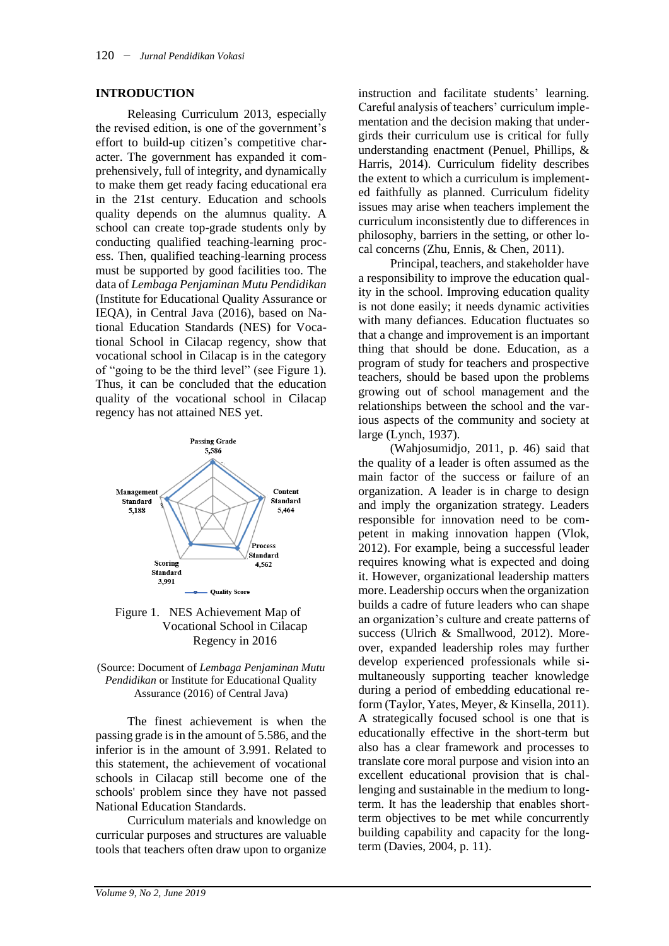#### **INTRODUCTION**

Releasing Curriculum 2013, especially the revised edition, is one of the government's effort to build-up citizen's competitive character. The government has expanded it comprehensively, full of integrity, and dynamically to make them get ready facing educational era in the 21st century. Education and schools quality depends on the alumnus quality. A school can create top-grade students only by conducting qualified teaching-learning process. Then, qualified teaching-learning process must be supported by good facilities too. The data of *Lembaga Penjaminan Mutu Pendidikan* (Institute for Educational Quality Assurance or IEQA), in Central Java (2016), based on National Education Standards (NES) for Vocational School in Cilacap regency, show that vocational school in Cilacap is in the category of "going to be the third level" (see Figure 1). Thus, it can be concluded that the education quality of the vocational school in Cilacap regency has not attained NES yet.



Figure 1. NES Achievement Map of Vocational School in Cilacap Regency in 2016



The finest achievement is when the passing grade is in the amount of 5.586, and the inferior is in the amount of 3.991. Related to this statement, the achievement of vocational schools in Cilacap still become one of the schools' problem since they have not passed National Education Standards.

Curriculum materials and knowledge on curricular purposes and structures are valuable tools that teachers often draw upon to organize

instruction and facilitate students' learning. Careful analysis of teachers' curriculum implementation and the decision making that undergirds their curriculum use is critical for fully understanding enactment (Penuel, Phillips, & Harris, 2014). Curriculum fidelity describes the extent to which a curriculum is implemented faithfully as planned. Curriculum fidelity issues may arise when teachers implement the curriculum inconsistently due to differences in philosophy, barriers in the setting, or other local concerns (Zhu, Ennis, & Chen, 2011).

Principal, teachers, and stakeholder have a responsibility to improve the education quality in the school. Improving education quality is not done easily; it needs dynamic activities with many defiances. Education fluctuates so that a change and improvement is an important thing that should be done. Education, as a program of study for teachers and prospective teachers, should be based upon the problems growing out of school management and the relationships between the school and the various aspects of the community and society at large (Lynch, 1937).

(Wahjosumidjo, 2011, p. 46) said that the quality of a leader is often assumed as the main factor of the success or failure of an organization. A leader is in charge to design and imply the organization strategy. Leaders responsible for innovation need to be competent in making innovation happen (Vlok, 2012). For example, being a successful leader requires knowing what is expected and doing it. However, organizational leadership matters more. Leadership occurs when the organization builds a cadre of future leaders who can shape an organization's culture and create patterns of success (Ulrich & Smallwood, 2012). Moreover, expanded leadership roles may further develop experienced professionals while simultaneously supporting teacher knowledge during a period of embedding educational reform (Taylor, Yates, Meyer, & Kinsella, 2011). A strategically focused school is one that is educationally effective in the short-term but also has a clear framework and processes to translate core moral purpose and vision into an excellent educational provision that is challenging and sustainable in the medium to longterm. It has the leadership that enables shortterm objectives to be met while concurrently building capability and capacity for the longterm (Davies, 2004, p. 11).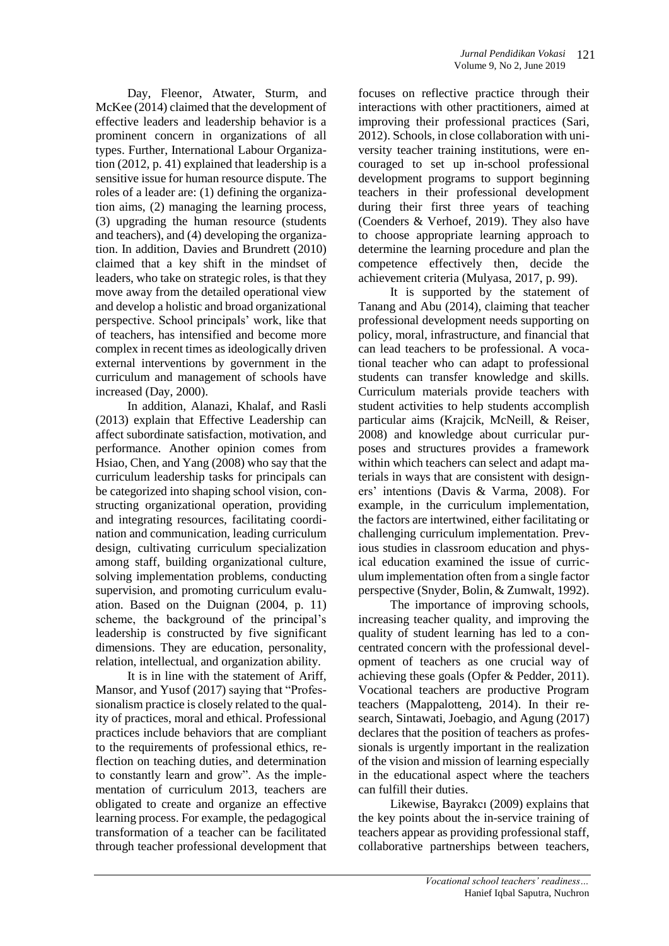Day, Fleenor, Atwater, Sturm, and McKee (2014) claimed that the development of effective leaders and leadership behavior is a prominent concern in organizations of all types. Further, International Labour Organization (2012, p. 41) explained that leadership is a sensitive issue for human resource dispute. The roles of a leader are: (1) defining the organization aims, (2) managing the learning process, (3) upgrading the human resource (students and teachers), and (4) developing the organization. In addition, Davies and Brundrett (2010) claimed that a key shift in the mindset of leaders, who take on strategic roles, is that they move away from the detailed operational view and develop a holistic and broad organizational perspective. School principals' work, like that of teachers, has intensified and become more complex in recent times as ideologically driven external interventions by government in the curriculum and management of schools have increased (Day, 2000).

In addition, Alanazi, Khalaf, and Rasli (2013) explain that Effective Leadership can affect subordinate satisfaction, motivation, and performance. Another opinion comes from Hsiao, Chen, and Yang (2008) who say that the curriculum leadership tasks for principals can be categorized into shaping school vision, constructing organizational operation, providing and integrating resources, facilitating coordination and communication, leading curriculum design, cultivating curriculum specialization among staff, building organizational culture, solving implementation problems, conducting supervision, and promoting curriculum evaluation. Based on the Duignan (2004, p. 11) scheme, the background of the principal's leadership is constructed by five significant dimensions. They are education, personality, relation, intellectual, and organization ability.

It is in line with the statement of Ariff, Mansor, and Yusof (2017) saying that "Professionalism practice is closely related to the quality of practices, moral and ethical. Professional practices include behaviors that are compliant to the requirements of professional ethics, reflection on teaching duties, and determination to constantly learn and grow". As the implementation of curriculum 2013, teachers are obligated to create and organize an effective learning process. For example, the pedagogical transformation of a teacher can be facilitated through teacher professional development that

focuses on reflective practice through their interactions with other practitioners, aimed at improving their professional practices (Sari, 2012). Schools, in close collaboration with university teacher training institutions, were encouraged to set up in-school professional development programs to support beginning teachers in their professional development during their first three years of teaching (Coenders & Verhoef, 2019). They also have to choose appropriate learning approach to determine the learning procedure and plan the competence effectively then, decide the achievement criteria (Mulyasa, 2017, p. 99).

It is supported by the statement of Tanang and Abu (2014), claiming that teacher professional development needs supporting on policy, moral, infrastructure, and financial that can lead teachers to be professional. A vocational teacher who can adapt to professional students can transfer knowledge and skills. Curriculum materials provide teachers with student activities to help students accomplish particular aims (Krajcik, McNeill, & Reiser, 2008) and knowledge about curricular purposes and structures provides a framework within which teachers can select and adapt materials in ways that are consistent with designers' intentions (Davis & Varma, 2008). For example, in the curriculum implementation, the factors are intertwined, either facilitating or challenging curriculum implementation. Previous studies in classroom education and physical education examined the issue of curriculum implementation often from a single factor perspective (Snyder, Bolin, & Zumwalt, 1992).

The importance of improving schools, increasing teacher quality, and improving the quality of student learning has led to a concentrated concern with the professional development of teachers as one crucial way of achieving these goals (Opfer & Pedder, 2011). Vocational teachers are productive Program teachers (Mappalotteng, 2014). In their research, Sintawati, Joebagio, and Agung (2017) declares that the position of teachers as professionals is urgently important in the realization of the vision and mission of learning especially in the educational aspect where the teachers can fulfill their duties.

Likewise, Bayrakcı (2009) explains that the key points about the in-service training of teachers appear as providing professional staff, collaborative partnerships between teachers,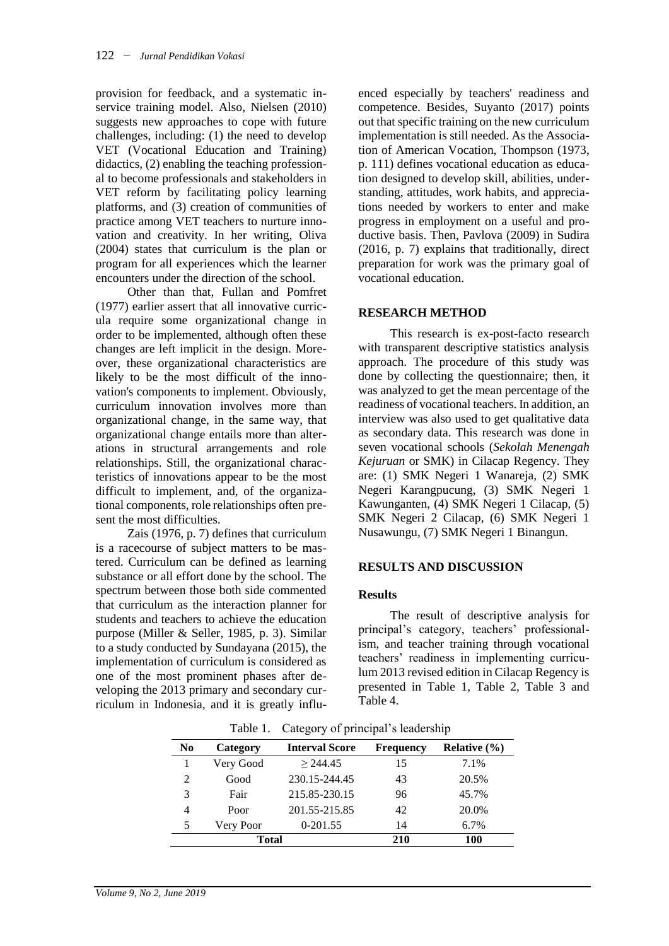provision for feedback, and a systematic inservice training model. Also, Nielsen (2010) suggests new approaches to cope with future challenges, including: (1) the need to develop VET (Vocational Education and Training) didactics, (2) enabling the teaching professional to become professionals and stakeholders in VET reform by facilitating policy learning platforms, and (3) creation of communities of practice among VET teachers to nurture innovation and creativity. In her writing, Oliva (2004) states that curriculum is the plan or program for all experiences which the learner encounters under the direction of the school.

Other than that, Fullan and Pomfret (1977) earlier assert that all innovative curricula require some organizational change in order to be implemented, although often these changes are left implicit in the design. Moreover, these organizational characteristics are likely to be the most difficult of the innovation's components to implement. Obviously, curriculum innovation involves more than organizational change, in the same way, that organizational change entails more than alterations in structural arrangements and role relationships. Still, the organizational characteristics of innovations appear to be the most difficult to implement, and, of the organizational components, role relationships often present the most difficulties.

Zais (1976, p. 7) defines that curriculum is a racecourse of subject matters to be mastered. Curriculum can be defined as learning substance or all effort done by the school. The spectrum between those both side commented that curriculum as the interaction planner for students and teachers to achieve the education purpose (Miller & Seller, 1985, p. 3). Similar to a study conducted by Sundayana (2015), the implementation of curriculum is considered as one of the most prominent phases after developing the 2013 primary and secondary curriculum in Indonesia, and it is greatly influenced especially by teachers' readiness and competence. Besides, Suyanto (2017) points out that specific training on the new curriculum implementation is still needed. As the Association of American Vocation, Thompson (1973, p. 111) defines vocational education as education designed to develop skill, abilities, understanding, attitudes, work habits, and appreciations needed by workers to enter and make progress in employment on a useful and productive basis. Then, Pavlova (2009) in Sudira (2016, p. 7) explains that traditionally, direct preparation for work was the primary goal of vocational education.

## **RESEARCH METHOD**

This research is ex-post-facto research with transparent descriptive statistics analysis approach. The procedure of this study was done by collecting the questionnaire; then, it was analyzed to get the mean percentage of the readiness of vocational teachers. In addition, an interview was also used to get qualitative data as secondary data. This research was done in seven vocational schools (*Sekolah Menengah Kejuruan* or SMK) in Cilacap Regency. They are: (1) SMK Negeri 1 Wanareja, (2) SMK Negeri Karangpucung, (3) SMK Negeri 1 Kawunganten, (4) SMK Negeri 1 Cilacap, (5) SMK Negeri 2 Cilacap, (6) SMK Negeri 1 Nusawungu, (7) SMK Negeri 1 Binangun.

#### **RESULTS AND DISCUSSION**

#### **Results**

The result of descriptive analysis for principal's category, teachers' professionalism, and teacher training through vocational teachers' readiness in implementing curriculum 2013 revised edition in Cilacap Regency is presented in Table 1, Table 2, Table 3 and Table 4.

| N <sub>0</sub> | Category  | <b>Interval Score</b> | <b>Frequency</b> | Relative $(\% )$ |
|----------------|-----------|-----------------------|------------------|------------------|
|                | Very Good | > 244.45              | 15               | 7.1%             |
| 2              | Good      | 230.15-244.45         | 43               | 20.5%            |
| 3              | Fair      | 215.85-230.15         | 96               | 45.7%            |
| 4              | Poor      | 201.55-215.85         | 42               | 20.0%            |
| 5              | Very Poor | 0-201.55              | 14               | 6.7%             |
| <b>Total</b>   |           |                       | 210              | 100              |

Table 1. Category of principal's leadership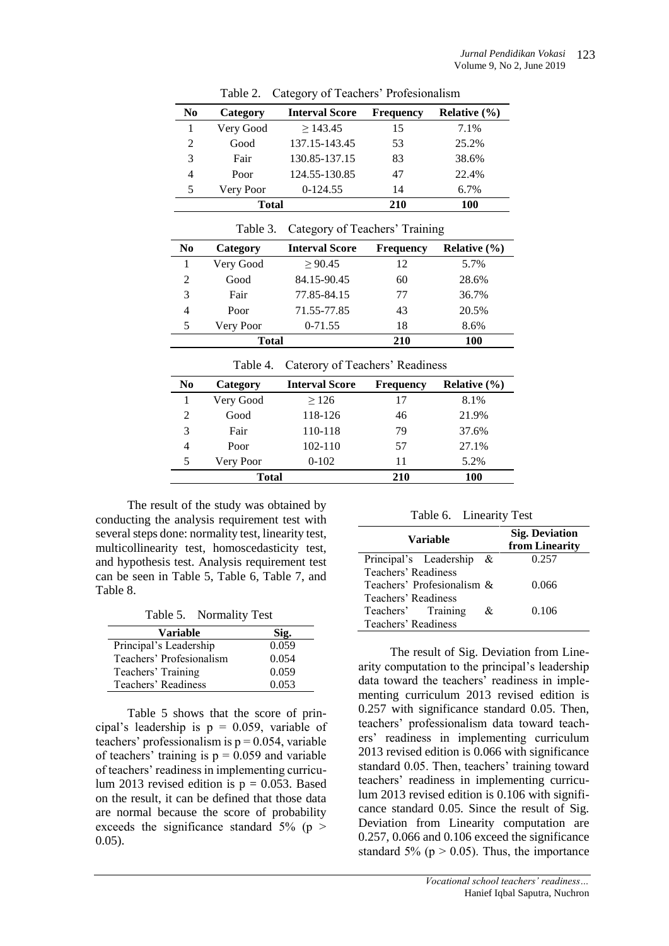| N <sub>0</sub> | Category  | <b>Interval Score</b> | <b>Frequency</b> | Relative $(\% )$ |
|----------------|-----------|-----------------------|------------------|------------------|
|                | Very Good | >143.45               | 15               | 7.1%             |
| 2              | Good      | 137.15-143.45         | 53               | 25.2%            |
| 3              | Fair      | 130.85-137.15         | 83               | 38.6%            |
| 4              | Poor      | 124.55-130.85         | 47               | 22.4%            |
| 5              | Very Poor | $0-124.55$            | 14               | 6.7%             |
| <b>Total</b>   |           |                       | 210              | 100              |

Table 2. Category of Teachers' Profesionalism

| N <sub>0</sub> | Category  | <b>Interval Score</b> | <b>Frequency</b> | Relative $(\% )$ |
|----------------|-----------|-----------------------|------------------|------------------|
|                | Very Good | > 90.45               | 12               | 5.7%             |
| 2              | Good      | 84.15-90.45           | 60               | 28.6%            |
| 3              | Fair      | 77.85-84.15           | 77               | 36.7%            |
| 4              | Poor      | 71.55-77.85           | 43               | 20.5%            |
| 5              | Very Poor | $0-71.55$             | 18               | 8.6%             |
|                | Total     |                       | 210              | 100              |

Table 3. Category of Teachers' Training

| Table 4. Caterory of Teachers' Readiness |
|------------------------------------------|
|------------------------------------------|

| N <sub>0</sub> | Category  | <b>Interval Score</b> | <b>Frequency</b> | Relative $(\% )$ |
|----------------|-----------|-----------------------|------------------|------------------|
|                | Very Good | >126                  | 17               | 8.1%             |
| $\mathfrak{D}$ | Good      | 118-126               | 46               | 21.9%            |
| 3              | Fair      | 110-118               | 79               | 37.6%            |
| 4              | Poor      | $102 - 110$           | 57               | 27.1%            |
| 5              | Very Poor | $0-102$               | 11               | 5.2%             |
|                | Total     |                       | 210              | 100              |

The result of the study was obtained by conducting the analysis requirement test with several steps done: normality test, linearity test, multicollinearity test, homoscedasticity test, and hypothesis test. Analysis requirement test can be seen in Table 5, Table 6, Table 7, and Table 8.

Table 5. Normality Test

| <b>Variable</b>          | Sig.  |
|--------------------------|-------|
| Principal's Leadership   | 0.059 |
| Teachers' Profesionalism | 0.054 |
| Teachers' Training       | 0.059 |
| Teachers' Readiness      | 0.053 |

Table 5 shows that the score of principal's leadership is  $p = 0.059$ , variable of teachers' professionalism is  $p = 0.054$ , variable of teachers' training is  $p = 0.059$  and variable of teachers' readiness in implementing curriculum 2013 revised edition is  $p = 0.053$ . Based on the result, it can be defined that those data are normal because the score of probability exceeds the significance standard  $5\%$  (p  $>$ 0.05).

Table 6. Linearity Test

| <b>Variable</b>            |     | <b>Sig. Deviation</b><br>from Linearity |
|----------------------------|-----|-----------------------------------------|
| Principal's Leadership     | - & | 0.257                                   |
| Teachers' Readiness        |     |                                         |
| Teachers' Profesionalism & |     | 0.066                                   |
| Teachers' Readiness        |     |                                         |
| Teachers' Training         | &.  | 0.106                                   |
| Teachers' Readiness        |     |                                         |

The result of Sig. Deviation from Linearity computation to the principal's leadership data toward the teachers' readiness in implementing curriculum 2013 revised edition is 0.257 with significance standard 0.05. Then, teachers' professionalism data toward teachers' readiness in implementing curriculum 2013 revised edition is 0.066 with significance standard 0.05. Then, teachers' training toward teachers' readiness in implementing curriculum 2013 revised edition is 0.106 with significance standard 0.05. Since the result of Sig. Deviation from Linearity computation are 0.257, 0.066 and 0.106 exceed the significance standard 5% ( $p > 0.05$ ). Thus, the importance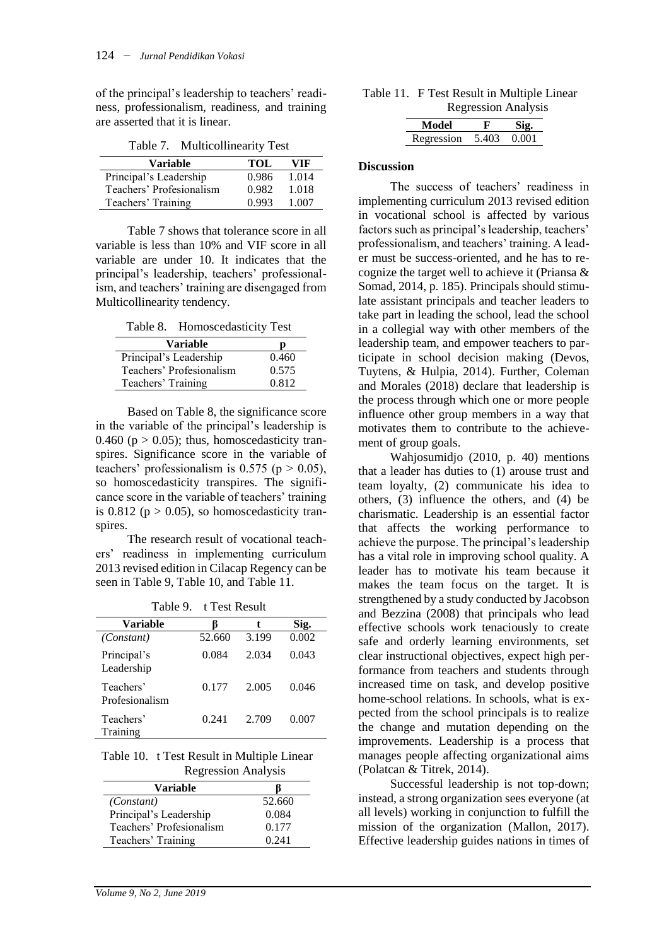of the principal's leadership to teachers' readiness, professionalism, readiness, and training are asserted that it is linear.

Table 7. Multicollinearity Test

| <b>Variable</b>          | TOL.  | VIF   |
|--------------------------|-------|-------|
| Principal's Leadership   | 0.986 | 1.014 |
| Teachers' Profesionalism | 0.982 | 1.018 |
| Teachers' Training       | 0.993 | 1.007 |

Table 7 shows that tolerance score in all variable is less than 10% and VIF score in all variable are under 10. It indicates that the principal's leadership, teachers' professionalism, and teachers' training are disengaged from Multicollinearity tendency.

Table 8. Homoscedasticity Test

| <b>Variable</b>          |       |
|--------------------------|-------|
| Principal's Leadership   | 0.460 |
| Teachers' Profesionalism | 0.575 |
| Teachers' Training       | 0.812 |

Based on Table 8, the significance score in the variable of the principal's leadership is 0.460 ( $p > 0.05$ ); thus, homoscedasticity transpires. Significance score in the variable of teachers' professionalism is  $0.575$  ( $p > 0.05$ ), so homoscedasticity transpires. The significance score in the variable of teachers' training is 0.812 ( $p > 0.05$ ), so homoscedasticity transpires.

The research result of vocational teachers' readiness in implementing curriculum 2013 revised edition in Cilacap Regency can be seen in Table 9, Table 10, and Table 11.

Table 9. t Test Result

| Variable                    |        | t.    | Sig.  |
|-----------------------------|--------|-------|-------|
| (Constant)                  | 52.660 | 3.199 | 0.002 |
| Principal's<br>Leadership   | 0.084  | 2.034 | 0.043 |
| Teachers'<br>Profesionalism | 0.177  | 2.005 | 0.046 |
| Teachers'<br>Training       | 0.241  | 2.709 | 0.007 |

Table 10. t Test Result in Multiple Linear Regression Analysis

| 100 <sub>51</sub>        |        |  |
|--------------------------|--------|--|
| <b>Variable</b>          |        |  |
| (Constant)               | 52.660 |  |
| Principal's Leadership   | 0.084  |  |
| Teachers' Profesionalism | 0.177  |  |
| Teachers' Training       | 0.241  |  |

| Table 11. F Test Result in Multiple Linear |
|--------------------------------------------|
| <b>Regression Analysis</b>                 |

| Model      | F     |       |
|------------|-------|-------|
| Regression | 5.403 | 0.001 |

#### **Discussion**

The success of teachers' readiness in implementing curriculum 2013 revised edition in vocational school is affected by various factors such as principal's leadership, teachers' professionalism, and teachers' training. A leader must be success-oriented, and he has to recognize the target well to achieve it (Priansa & Somad, 2014, p. 185). Principals should stimulate assistant principals and teacher leaders to take part in leading the school, lead the school in a collegial way with other members of the leadership team, and empower teachers to participate in school decision making (Devos, Tuytens, & Hulpia, 2014). Further, Coleman and Morales (2018) declare that leadership is the process through which one or more people influence other group members in a way that motivates them to contribute to the achievement of group goals.

Wahjosumidjo (2010, p. 40) mentions that a leader has duties to (1) arouse trust and team loyalty, (2) communicate his idea to others, (3) influence the others, and (4) be charismatic. Leadership is an essential factor that affects the working performance to achieve the purpose. The principal's leadership has a vital role in improving school quality. A leader has to motivate his team because it makes the team focus on the target. It is strengthened by a study conducted by Jacobson and Bezzina (2008) that principals who lead effective schools work tenaciously to create safe and orderly learning environments, set clear instructional objectives, expect high performance from teachers and students through increased time on task, and develop positive home-school relations. In schools, what is expected from the school principals is to realize the change and mutation depending on the improvements. Leadership is a process that manages people affecting organizational aims (Polatcan & Titrek, 2014).

Successful leadership is not top-down; instead, a strong organization sees everyone (at all levels) working in conjunction to fulfill the mission of the organization (Mallon, 2017). Effective leadership guides nations in times of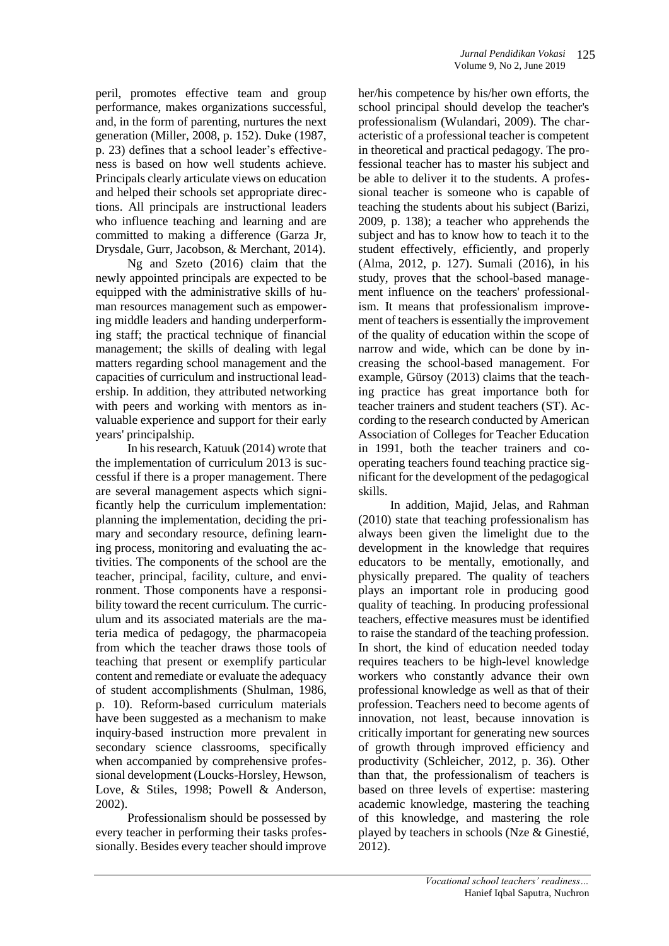peril, promotes effective team and group performance, makes organizations successful, and, in the form of parenting, nurtures the next generation (Miller, 2008, p. 152). Duke (1987, p. 23) defines that a school leader's effectiveness is based on how well students achieve. Principals clearly articulate views on education and helped their schools set appropriate directions. All principals are instructional leaders who influence teaching and learning and are committed to making a difference (Garza Jr, Drysdale, Gurr, Jacobson, & Merchant, 2014).

Ng and Szeto (2016) claim that the newly appointed principals are expected to be equipped with the administrative skills of human resources management such as empowering middle leaders and handing underperforming staff; the practical technique of financial management; the skills of dealing with legal matters regarding school management and the capacities of curriculum and instructional leadership. In addition, they attributed networking with peers and working with mentors as invaluable experience and support for their early years' principalship.

In his research, Katuuk (2014) wrote that the implementation of curriculum 2013 is successful if there is a proper management. There are several management aspects which significantly help the curriculum implementation: planning the implementation, deciding the primary and secondary resource, defining learning process, monitoring and evaluating the activities. The components of the school are the teacher, principal, facility, culture, and environment. Those components have a responsibility toward the recent curriculum. The curriculum and its associated materials are the materia medica of pedagogy, the pharmacopeia from which the teacher draws those tools of teaching that present or exemplify particular content and remediate or evaluate the adequacy of student accomplishments (Shulman, 1986, p. 10). Reform-based curriculum materials have been suggested as a mechanism to make inquiry-based instruction more prevalent in secondary science classrooms, specifically when accompanied by comprehensive professional development (Loucks-Horsley, Hewson, Love, & Stiles, 1998; Powell & Anderson, 2002).

Professionalism should be possessed by every teacher in performing their tasks professionally. Besides every teacher should improve her/his competence by his/her own efforts, the school principal should develop the teacher's professionalism (Wulandari, 2009). The characteristic of a professional teacher is competent in theoretical and practical pedagogy. The professional teacher has to master his subject and be able to deliver it to the students. A professional teacher is someone who is capable of teaching the students about his subject (Barizi, 2009, p. 138); a teacher who apprehends the subject and has to know how to teach it to the student effectively, efficiently, and properly (Alma, 2012, p. 127). Sumali (2016), in his study, proves that the school-based management influence on the teachers' professionalism. It means that professionalism improvement of teachers is essentially the improvement of the quality of education within the scope of narrow and wide, which can be done by increasing the school-based management. For example, Gürsoy (2013) claims that the teaching practice has great importance both for teacher trainers and student teachers (ST). According to the research conducted by American Association of Colleges for Teacher Education in 1991, both the teacher trainers and cooperating teachers found teaching practice significant for the development of the pedagogical skills.

In addition, Majid, Jelas, and Rahman (2010) state that teaching professionalism has always been given the limelight due to the development in the knowledge that requires educators to be mentally, emotionally, and physically prepared. The quality of teachers plays an important role in producing good quality of teaching. In producing professional teachers, effective measures must be identified to raise the standard of the teaching profession. In short, the kind of education needed today requires teachers to be high-level knowledge workers who constantly advance their own professional knowledge as well as that of their profession. Teachers need to become agents of innovation, not least, because innovation is critically important for generating new sources of growth through improved efficiency and productivity (Schleicher, 2012, p. 36). Other than that, the professionalism of teachers is based on three levels of expertise: mastering academic knowledge, mastering the teaching of this knowledge, and mastering the role played by teachers in schools (Nze & Ginestié, 2012).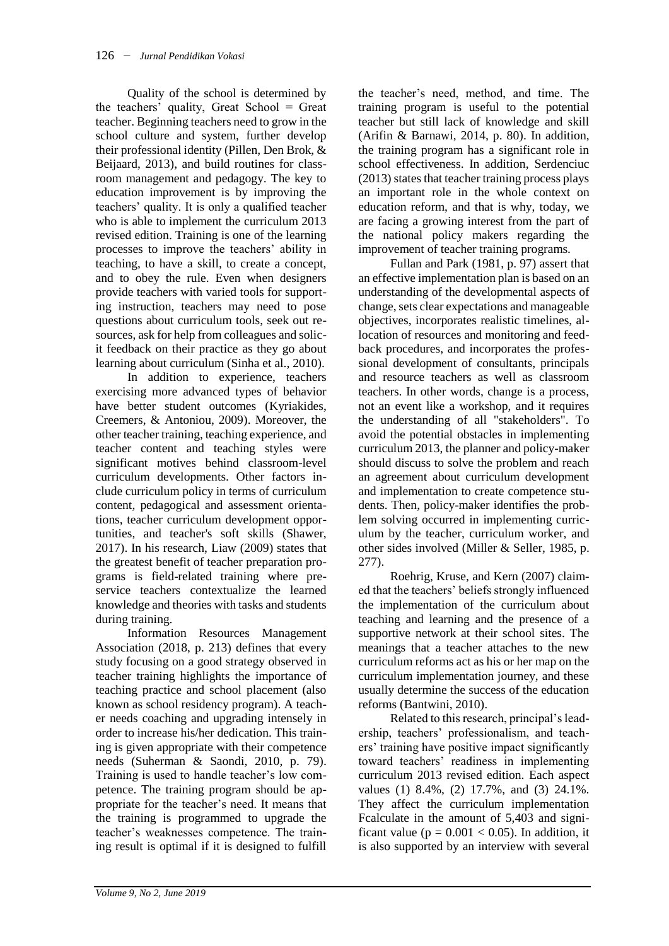Quality of the school is determined by the teachers' quality, Great School = Great teacher. Beginning teachers need to grow in the school culture and system, further develop their professional identity (Pillen, Den Brok, & Beijaard, 2013), and build routines for classroom management and pedagogy. The key to education improvement is by improving the teachers' quality. It is only a qualified teacher who is able to implement the curriculum 2013 revised edition. Training is one of the learning processes to improve the teachers' ability in teaching, to have a skill, to create a concept, and to obey the rule. Even when designers provide teachers with varied tools for supporting instruction, teachers may need to pose questions about curriculum tools, seek out resources, ask for help from colleagues and solicit feedback on their practice as they go about learning about curriculum (Sinha et al., 2010).

In addition to experience, teachers exercising more advanced types of behavior have better student outcomes (Kyriakides, Creemers, & Antoniou, 2009). Moreover, the other teacher training, teaching experience, and teacher content and teaching styles were significant motives behind classroom-level curriculum developments. Other factors include curriculum policy in terms of curriculum content, pedagogical and assessment orientations, teacher curriculum development opportunities, and teacher's soft skills (Shawer, 2017). In his research, Liaw (2009) states that the greatest benefit of teacher preparation programs is field-related training where preservice teachers contextualize the learned knowledge and theories with tasks and students during training.

Information Resources Management Association (2018, p. 213) defines that every study focusing on a good strategy observed in teacher training highlights the importance of teaching practice and school placement (also known as school residency program). A teacher needs coaching and upgrading intensely in order to increase his/her dedication. This training is given appropriate with their competence needs (Suherman & Saondi, 2010, p. 79). Training is used to handle teacher's low competence. The training program should be appropriate for the teacher's need. It means that the training is programmed to upgrade the teacher's weaknesses competence. The training result is optimal if it is designed to fulfill

the teacher's need, method, and time. The training program is useful to the potential teacher but still lack of knowledge and skill (Arifin & Barnawi, 2014, p. 80). In addition, the training program has a significant role in school effectiveness. In addition, Serdenciuc (2013) states that teacher training process plays an important role in the whole context on education reform, and that is why, today, we are facing a growing interest from the part of the national policy makers regarding the improvement of teacher training programs.

Fullan and Park (1981, p. 97) assert that an effective implementation plan is based on an understanding of the developmental aspects of change, sets clear expectations and manageable objectives, incorporates realistic timelines, allocation of resources and monitoring and feedback procedures, and incorporates the professional development of consultants, principals and resource teachers as well as classroom teachers. In other words, change is a process, not an event like a workshop, and it requires the understanding of all "stakeholders". To avoid the potential obstacles in implementing curriculum 2013, the planner and policy-maker should discuss to solve the problem and reach an agreement about curriculum development and implementation to create competence students. Then, policy-maker identifies the problem solving occurred in implementing curriculum by the teacher, curriculum worker, and other sides involved (Miller & Seller, 1985, p. 277).

Roehrig, Kruse, and Kern (2007) claimed that the teachers' beliefs strongly influenced the implementation of the curriculum about teaching and learning and the presence of a supportive network at their school sites. The meanings that a teacher attaches to the new curriculum reforms act as his or her map on the curriculum implementation journey, and these usually determine the success of the education reforms (Bantwini, 2010).

Related to this research, principal's leadership, teachers' professionalism, and teachers' training have positive impact significantly toward teachers' readiness in implementing curriculum 2013 revised edition. Each aspect values (1) 8.4%, (2) 17.7%, and (3) 24.1%. They affect the curriculum implementation Fcalculate in the amount of 5,403 and significant value ( $p = 0.001 < 0.05$ ). In addition, it is also supported by an interview with several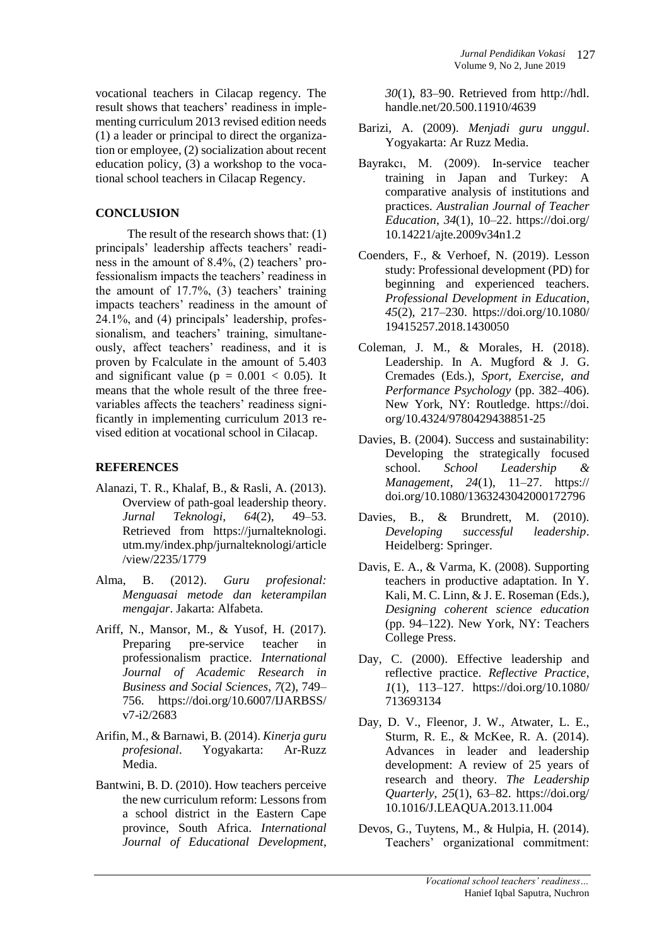vocational teachers in Cilacap regency. The result shows that teachers' readiness in implementing curriculum 2013 revised edition needs (1) a leader or principal to direct the organization or employee, (2) socialization about recent education policy, (3) a workshop to the vocational school teachers in Cilacap Regency.

## **CONCLUSION**

The result of the research shows that: (1) principals' leadership affects teachers' readiness in the amount of 8.4%, (2) teachers' professionalism impacts the teachers' readiness in the amount of 17.7%, (3) teachers' training impacts teachers' readiness in the amount of 24.1%, and (4) principals' leadership, professionalism, and teachers' training, simultaneously, affect teachers' readiness, and it is proven by Fcalculate in the amount of 5.403 and significant value ( $p = 0.001 < 0.05$ ). It means that the whole result of the three freevariables affects the teachers' readiness significantly in implementing curriculum 2013 revised edition at vocational school in Cilacap.

# **REFERENCES**

- Alanazi, T. R., Khalaf, B., & Rasli, A. (2013). Overview of path-goal leadership theory. *Jurnal Teknologi*, *64*(2), 49–53. Retrieved from https://jurnalteknologi. utm.my/index.php/jurnalteknologi/article /view/2235/1779
- Alma, B. (2012). *Guru profesional: Menguasai metode dan keterampilan mengajar*. Jakarta: Alfabeta.
- Ariff, N., Mansor, M., & Yusof, H. (2017). Preparing pre-service teacher in professionalism practice. *International Journal of Academic Research in Business and Social Sciences*, *7*(2), 749– 756. https://doi.org/10.6007/IJARBSS/ v7-i2/2683
- Arifin, M., & Barnawi, B. (2014). *Kinerja guru profesional*. Yogyakarta: Ar-Ruzz Media.
- Bantwini, B. D. (2010). How teachers perceive the new curriculum reform: Lessons from a school district in the Eastern Cape province, South Africa. *International Journal of Educational Development*,

*30*(1), 83–90. Retrieved from http://hdl. handle.net/20.500.11910/4639

- Barizi, A. (2009). *Menjadi guru unggul*. Yogyakarta: Ar Ruzz Media.
- Bayrakcı, M. (2009). In-service teacher training in Japan and Turkey: A comparative analysis of institutions and practices. *Australian Journal of Teacher Education*, *34*(1), 10–22. https://doi.org/ 10.14221/ajte.2009v34n1.2
- Coenders, F., & Verhoef, N. (2019). Lesson study: Professional development (PD) for beginning and experienced teachers. *Professional Development in Education*, *45*(2), 217–230. https://doi.org/10.1080/ 19415257.2018.1430050
- Coleman, J. M., & Morales, H. (2018). Leadership. In A. Mugford & J. G. Cremades (Eds.), *Sport, Exercise, and Performance Psychology* (pp. 382–406). New York, NY: Routledge. https://doi. org/10.4324/9780429438851-25
- Davies, B. (2004). Success and sustainability: Developing the strategically focused school. *School Leadership & Management*, *24*(1), 11–27. https:// doi.org/10.1080/1363243042000172796
- Davies, B., & Brundrett, M. (2010). *Developing successful leadership*. Heidelberg: Springer.
- Davis, E. A., & Varma, K. (2008). Supporting teachers in productive adaptation. In Y. Kali, M. C. Linn, & J. E. Roseman (Eds.), *Designing coherent science education* (pp. 94–122). New York, NY: Teachers College Press.
- Day, C. (2000). Effective leadership and reflective practice. *Reflective Practice*, *1*(1), 113–127. https://doi.org/10.1080/ 713693134
- Day, D. V., Fleenor, J. W., Atwater, L. E., Sturm, R. E., & McKee, R. A. (2014). Advances in leader and leadership development: A review of 25 years of research and theory. *The Leadership Quarterly*, *25*(1), 63–82. https://doi.org/ 10.1016/J.LEAQUA.2013.11.004
- Devos, G., Tuytens, M., & Hulpia, H. (2014). Teachers' organizational commitment: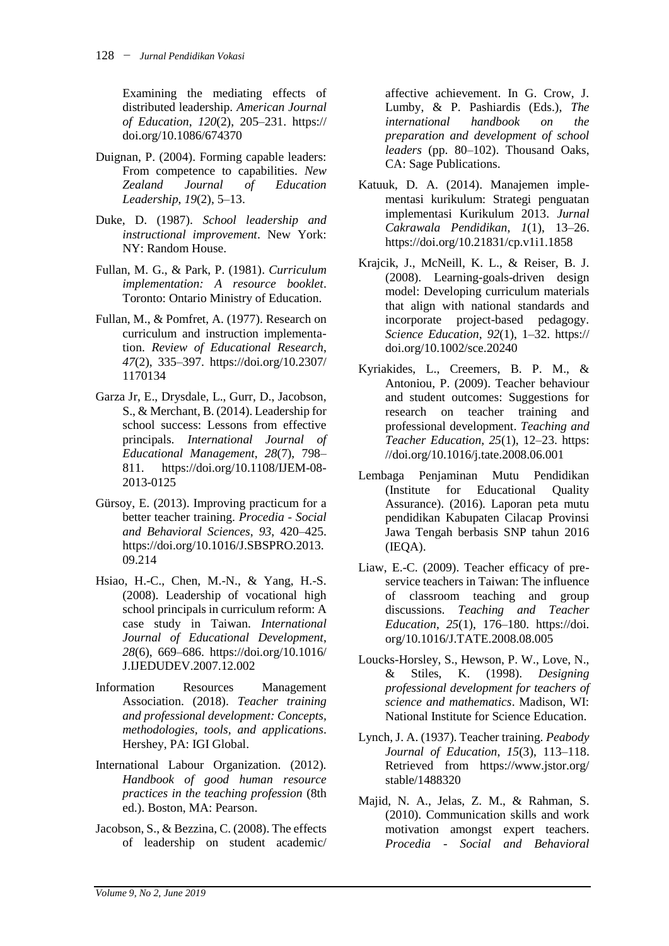Examining the mediating effects of distributed leadership. *American Journal of Education*, *120*(2), 205–231. https:// doi.org/10.1086/674370

- Duignan, P. (2004). Forming capable leaders: From competence to capabilities. *New Zealand Journal of Education Leadership*, *19*(2), 5–13.
- Duke, D. (1987). *School leadership and instructional improvement*. New York: NY: Random House.
- Fullan, M. G., & Park, P. (1981). *Curriculum implementation: A resource booklet*. Toronto: Ontario Ministry of Education.
- Fullan, M., & Pomfret, A. (1977). Research on curriculum and instruction implementation. *Review of Educational Research*, *47*(2), 335–397. https://doi.org/10.2307/ 1170134
- Garza Jr, E., Drysdale, L., Gurr, D., Jacobson, S., & Merchant, B. (2014). Leadership for school success: Lessons from effective principals. *International Journal of Educational Management*, *28*(7), 798– 811. https://doi.org/10.1108/IJEM-08- 2013-0125
- Gürsoy, E. (2013). Improving practicum for a better teacher training. *Procedia - Social and Behavioral Sciences*, *93*, 420–425. https://doi.org/10.1016/J.SBSPRO.2013. 09.214
- Hsiao, H.-C., Chen, M.-N., & Yang, H.-S. (2008). Leadership of vocational high school principals in curriculum reform: A case study in Taiwan. *International Journal of Educational Development*, *28*(6), 669–686. https://doi.org/10.1016/ J.IJEDUDEV.2007.12.002
- Information Resources Management Association. (2018). *Teacher training and professional development: Concepts, methodologies, tools, and applications*. Hershey, PA: IGI Global.
- International Labour Organization. (2012). *Handbook of good human resource practices in the teaching profession* (8th ed.). Boston, MA: Pearson.
- Jacobson, S., & Bezzina, C. (2008). The effects of leadership on student academic/

affective achievement. In G. Crow, J. Lumby, & P. Pashiardis (Eds.), *The international handbook on the preparation and development of school leaders* (pp. 80–102). Thousand Oaks, CA: Sage Publications.

- Katuuk, D. A. (2014). Manajemen implementasi kurikulum: Strategi penguatan implementasi Kurikulum 2013. *Jurnal Cakrawala Pendidikan*, *1*(1), 13–26. https://doi.org/10.21831/cp.v1i1.1858
- Krajcik, J., McNeill, K. L., & Reiser, B. J. (2008). Learning-goals-driven design model: Developing curriculum materials that align with national standards and incorporate project-based pedagogy. *Science Education*, *92*(1), 1–32. https:// doi.org/10.1002/sce.20240
- Kyriakides, L., Creemers, B. P. M., & Antoniou, P. (2009). Teacher behaviour and student outcomes: Suggestions for research on teacher training and professional development. *Teaching and Teacher Education*, *25*(1), 12–23. https: //doi.org/10.1016/j.tate.2008.06.001
- Lembaga Penjaminan Mutu Pendidikan (Institute for Educational Quality Assurance). (2016). Laporan peta mutu pendidikan Kabupaten Cilacap Provinsi Jawa Tengah berbasis SNP tahun 2016 (IEQA).
- Liaw, E.-C. (2009). Teacher efficacy of preservice teachers in Taiwan: The influence of classroom teaching and group discussions. *Teaching and Teacher Education*, *25*(1), 176–180. https://doi. org/10.1016/J.TATE.2008.08.005
- Loucks-Horsley, S., Hewson, P. W., Love, N., & Stiles, K. (1998). *Designing professional development for teachers of science and mathematics*. Madison, WI: National Institute for Science Education.
- Lynch, J. A. (1937). Teacher training. *Peabody Journal of Education*, *15*(3), 113–118. Retrieved from https://www.jstor.org/ stable/1488320
- Majid, N. A., Jelas, Z. M., & Rahman, S. (2010). Communication skills and work motivation amongst expert teachers. *Procedia - Social and Behavioral*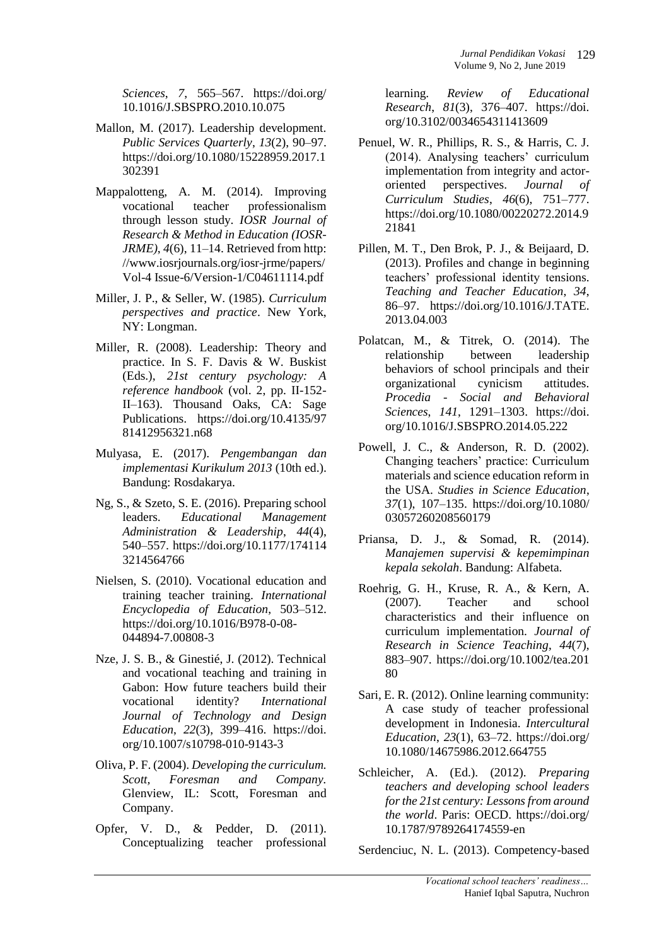*Sciences*, *7*, 565–567. https://doi.org/ 10.1016/J.SBSPRO.2010.10.075

- Mallon, M. (2017). Leadership development. *Public Services Quarterly*, *13*(2), 90–97. https://doi.org/10.1080/15228959.2017.1 302391
- Mappalotteng, A. M. (2014). Improving vocational teacher professionalism through lesson study. *IOSR Journal of Research & Method in Education (IOSR-JRME)*, *4*(6), 11–14. Retrieved from http: //www.iosrjournals.org/iosr-jrme/papers/ Vol-4 Issue-6/Version-1/C04611114.pdf
- Miller, J. P., & Seller, W. (1985). *Curriculum perspectives and practice*. New York, NY: Longman.
- Miller, R. (2008). Leadership: Theory and practice. In S. F. Davis & W. Buskist (Eds.), *21st century psychology: A reference handbook* (vol. 2, pp. II-152- II–163). Thousand Oaks, CA: Sage Publications. https://doi.org/10.4135/97 81412956321.n68
- Mulyasa, E. (2017). *Pengembangan dan implementasi Kurikulum 2013* (10th ed.). Bandung: Rosdakarya.
- Ng, S., & Szeto, S. E. (2016). Preparing school leaders. *Educational Management Administration & Leadership*, *44*(4), 540–557. https://doi.org/10.1177/174114 3214564766
- Nielsen, S. (2010). Vocational education and training teacher training. *International Encyclopedia of Education*, 503–512. https://doi.org/10.1016/B978-0-08- 044894-7.00808-3
- Nze, J. S. B., & Ginestié, J. (2012). Technical and vocational teaching and training in Gabon: How future teachers build their vocational identity? *International Journal of Technology and Design Education*, *22*(3), 399–416. https://doi. org/10.1007/s10798-010-9143-3
- Oliva, P. F. (2004). *Developing the curriculum. Scott, Foresman and Company.* Glenview, IL: Scott, Foresman and Company.
- Opfer, V. D., & Pedder, D. (2011). Conceptualizing teacher professional

learning. *Review of Educational Research*, *81*(3), 376–407. https://doi. org/10.3102/0034654311413609

- Penuel, W. R., Phillips, R. S., & Harris, C. J. (2014). Analysing teachers' curriculum implementation from integrity and actororiented perspectives. *Journal of Curriculum Studies*, *46*(6), 751–777. https://doi.org/10.1080/00220272.2014.9 21841
- Pillen, M. T., Den Brok, P. J., & Beijaard, D. (2013). Profiles and change in beginning teachers' professional identity tensions. *Teaching and Teacher Education*, *34*, 86–97. https://doi.org/10.1016/J.TATE. 2013.04.003
- Polatcan, M., & Titrek, O. (2014). The relationship between leadership behaviors of school principals and their organizational cynicism attitudes. *Procedia - Social and Behavioral Sciences*, *141*, 1291–1303. https://doi. org/10.1016/J.SBSPRO.2014.05.222
- Powell, J. C., & Anderson, R. D. (2002). Changing teachers' practice: Curriculum materials and science education reform in the USA. *Studies in Science Education*, *37*(1), 107–135. https://doi.org/10.1080/ 03057260208560179
- Priansa, D. J., & Somad, R. (2014). *Manajemen supervisi & kepemimpinan kepala sekolah*. Bandung: Alfabeta.
- Roehrig, G. H., Kruse, R. A., & Kern, A. (2007). Teacher and school characteristics and their influence on curriculum implementation. *Journal of Research in Science Teaching*, *44*(7), 883–907. https://doi.org/10.1002/tea.201 80
- Sari, E. R. (2012). Online learning community: A case study of teacher professional development in Indonesia. *Intercultural Education*, *23*(1), 63–72. https://doi.org/ 10.1080/14675986.2012.664755
- Schleicher, A. (Ed.). (2012). *Preparing teachers and developing school leaders for the 21st century: Lessons from around the world*. Paris: OECD. https://doi.org/ 10.1787/9789264174559-en

Serdenciuc, N. L. (2013). Competency-based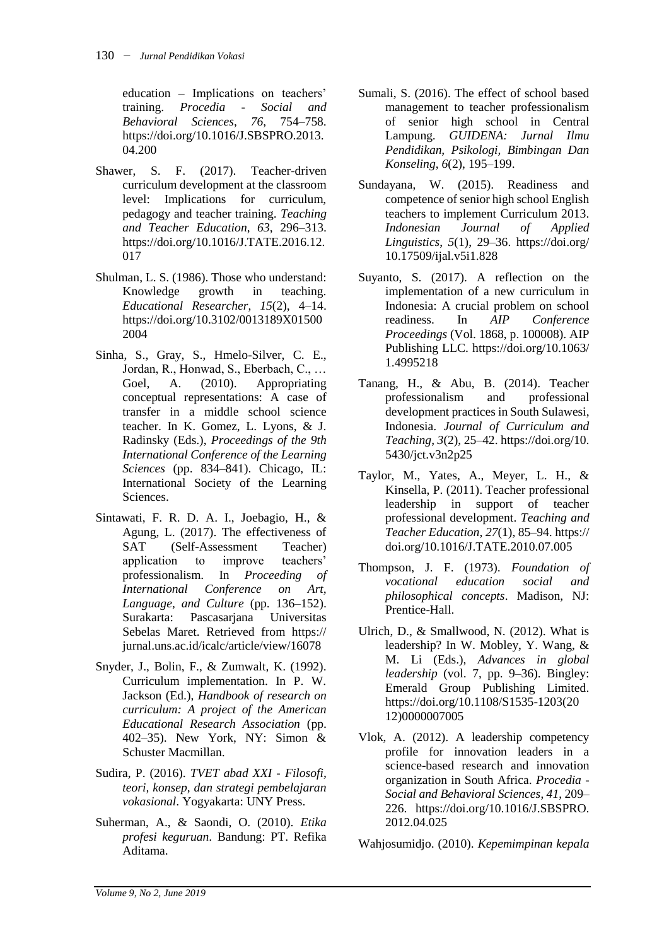education – Implications on teachers' training. *Procedia - Social and Behavioral Sciences*, *76*, 754–758. https://doi.org/10.1016/J.SBSPRO.2013. 04.200

- Shawer, S. F. (2017). Teacher-driven curriculum development at the classroom level: Implications for curriculum, pedagogy and teacher training. *Teaching and Teacher Education*, *63*, 296–313. https://doi.org/10.1016/J.TATE.2016.12. 017
- Shulman, L. S. (1986). Those who understand: Knowledge growth in teaching. *Educational Researcher*, *15*(2), 4–14. https://doi.org/10.3102/0013189X01500 2004
- Sinha, S., Gray, S., Hmelo-Silver, C. E., Jordan, R., Honwad, S., Eberbach, C., … Goel, A. (2010). Appropriating conceptual representations: A case of transfer in a middle school science teacher. In K. Gomez, L. Lyons, & J. Radinsky (Eds.), *Proceedings of the 9th International Conference of the Learning Sciences* (pp. 834–841). Chicago, IL: International Society of the Learning Sciences.
- Sintawati, F. R. D. A. I., Joebagio, H., & Agung, L. (2017). The effectiveness of SAT (Self-Assessment Teacher) application to improve teachers' professionalism. In *Proceeding of International Conference on Art, Language, and Culture* (pp. 136–152). Surakarta: Pascasarjana Universitas Sebelas Maret. Retrieved from https:// jurnal.uns.ac.id/icalc/article/view/16078
- Snyder, J., Bolin, F., & Zumwalt, K. (1992). Curriculum implementation. In P. W. Jackson (Ed.), *Handbook of research on curriculum: A project of the American Educational Research Association* (pp. 402–35). New York, NY: Simon & Schuster Macmillan.
- Sudira, P. (2016). *TVET abad XXI - Filosofi, teori, konsep, dan strategi pembelajaran vokasional*. Yogyakarta: UNY Press.
- Suherman, A., & Saondi, O. (2010). *Etika profesi keguruan*. Bandung: PT. Refika Aditama.
- Sumali, S. (2016). The effect of school based management to teacher professionalism of senior high school in Central Lampung. *GUIDENA: Jurnal Ilmu Pendidikan, Psikologi, Bimbingan Dan Konseling*, *6*(2), 195–199.
- Sundayana, W. (2015). Readiness and competence of senior high school English teachers to implement Curriculum 2013. *Indonesian Journal of Applied Linguistics*, *5*(1), 29–36. https://doi.org/ 10.17509/ijal.v5i1.828
- Suyanto, S. (2017). A reflection on the implementation of a new curriculum in Indonesia: A crucial problem on school readiness. In *AIP Conference Proceedings* (Vol. 1868, p. 100008). AIP Publishing LLC. https://doi.org/10.1063/ 1.4995218
- Tanang, H., & Abu, B. (2014). Teacher professionalism and professional development practices in South Sulawesi, Indonesia. *Journal of Curriculum and Teaching*, *3*(2), 25–42. https://doi.org/10. 5430/jct.v3n2p25
- Taylor, M., Yates, A., Meyer, L. H., & Kinsella, P. (2011). Teacher professional leadership in support of teacher professional development. *Teaching and Teacher Education*, *27*(1), 85–94. https:// doi.org/10.1016/J.TATE.2010.07.005
- Thompson, J. F. (1973). *Foundation of vocational education social and philosophical concepts*. Madison, NJ: Prentice-Hall.
- Ulrich, D., & Smallwood, N. (2012). What is leadership? In W. Mobley, Y. Wang, & M. Li (Eds.), *Advances in global leadership* (vol. 7, pp. 9–36). Bingley: Emerald Group Publishing Limited. https://doi.org/10.1108/S1535-1203(20 12)0000007005
- Vlok, A. (2012). A leadership competency profile for innovation leaders in a science-based research and innovation organization in South Africa. *Procedia - Social and Behavioral Sciences*, *41*, 209– 226. https://doi.org/10.1016/J.SBSPRO. 2012.04.025

Wahjosumidjo. (2010). *Kepemimpinan kepala*